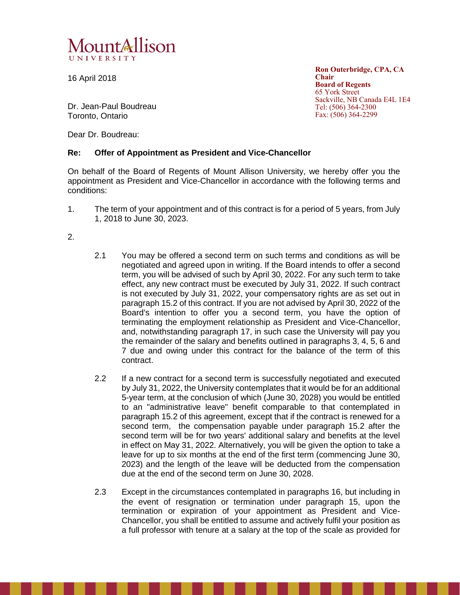

16 April 2018

**Ron Outerbridge, CPA, CA Chair Board of Regents** 65 York Street Sackville, NB Canada E4L 1E4 Tel: (506) 364-2300 Fax: (506) 364-2299

Dr. Jean-Paul Boudreau Toronto, Ontario

Dear Dr. Boudreau:

## **Re: Offer of Appointment as President and Vice-Chancellor**

On behalf of the Board of Regents of Mount Allison University, we hereby offer you the appointment as President and Vice-Chancellor in accordance with the following terms and conditions:

1. The term of your appointment and of this contract is for a period of 5 years, from July 1, 2018 to June 30, 2023.

2.

- 2.1 You may be offered a second term on such terms and conditions as will be negotiated and agreed upon in writing. If the Board intends to offer a second term, you will be advised of such by April 30, 2022. For any such term to take effect, any new contract must be executed by July 31, 2022. If such contract is not executed by July 31, 2022, your compensatory rights are as set out in paragraph 15.2 of this contract. If you are not advised by April 30, 2022 of the Board's intention to offer you a second term, you have the option of terminating the employment relationship as President and Vice-Chancellor, and, notwithstanding paragraph 17, in such case the University will pay you the remainder of the salary and benefits outlined in paragraphs 3, 4, 5, 6 and 7 due and owing under this contract for the balance of the term of this contract.
- 2.2 If a new contract for a second term is successfully negotiated and executed by July 31, 2022, the University contemplates that it would be for an additional 5-year term, at the conclusion of which (June 30, 2028) you would be entitled to an "administrative leave" benefit comparable to that contemplated in paragraph 15.2 of this agreement, except that if the contract is renewed for a second term, the compensation payable under paragraph 15.2 after the second term will be for two years' additional salary and benefits at the level in effect on May 31, 2022. Alternatively, you will be given the option to take a leave for up to six months at the end of the first term (commencing June 30, 2023) and the length of the leave will be deducted from the compensation due at the end of the second term on June 30, 2028.
- 2.3 Except in the circumstances contemplated in paragraphs 16, but including in the event of resignation or termination under paragraph 15, upon the termination or expiration of your appointment as President and Vice-Chancellor, you shall be entitled to assume and actively fulfil your position as a full professor with tenure at a salary at the top of the scale as provided for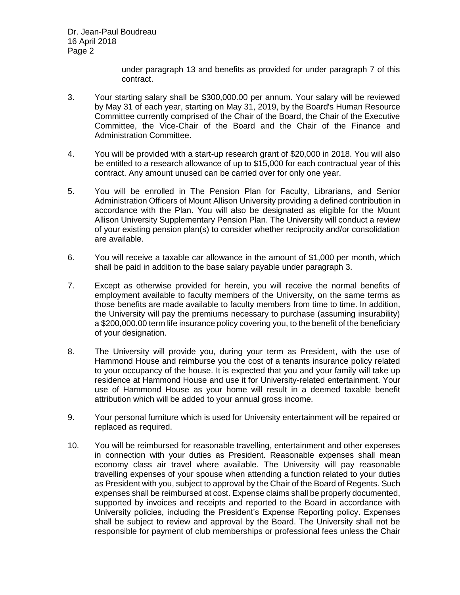Dr. Jean-Paul Boudreau 16 April 2018 Page 2

> under paragraph 13 and benefits as provided for under paragraph 7 of this contract.

- 3. Your starting salary shall be \$300,000.00 per annum. Your salary will be reviewed by May 31 of each year, starting on May 31, 2019, by the Board's Human Resource Committee currently comprised of the Chair of the Board, the Chair of the Executive Committee, the Vice-Chair of the Board and the Chair of the Finance and Administration Committee.
- 4. You will be provided with a start-up research grant of \$20,000 in 2018. You will also be entitled to a research allowance of up to \$15,000 for each contractual year of this contract. Any amount unused can be carried over for only one year.
- 5. You will be enrolled in The Pension Plan for Faculty, Librarians, and Senior Administration Officers of Mount Allison University providing a defined contribution in accordance with the Plan. You will also be designated as eligible for the Mount Allison University Supplementary Pension Plan. The University will conduct a review of your existing pension plan(s) to consider whether reciprocity and/or consolidation are available.
- 6. You will receive a taxable car allowance in the amount of \$1,000 per month, which shall be paid in addition to the base salary payable under paragraph 3.
- 7. Except as otherwise provided for herein, you will receive the normal benefits of employment available to faculty members of the University, on the same terms as those benefits are made available to faculty members from time to time. In addition, the University will pay the premiums necessary to purchase (assuming insurability) a \$200,000.00 term life insurance policy covering you, to the benefit of the beneficiary of your designation.
- 8. The University will provide you, during your term as President, with the use of Hammond House and reimburse you the cost of a tenants insurance policy related to your occupancy of the house. It is expected that you and your family will take up residence at Hammond House and use it for University-related entertainment. Your use of Hammond House as your home will result in a deemed taxable benefit attribution which will be added to your annual gross income.
- 9. Your personal furniture which is used for University entertainment will be repaired or replaced as required.
- 10. You will be reimbursed for reasonable travelling, entertainment and other expenses in connection with your duties as President. Reasonable expenses shall mean economy class air travel where available. The University will pay reasonable travelling expenses of your spouse when attending a function related to your duties as President with you, subject to approval by the Chair of the Board of Regents. Such expenses shall be reimbursed at cost. Expense claims shall be properly documented, supported by invoices and receipts and reported to the Board in accordance with University policies, including the President's Expense Reporting policy. Expenses shall be subject to review and approval by the Board. The University shall not be responsible for payment of club memberships or professional fees unless the Chair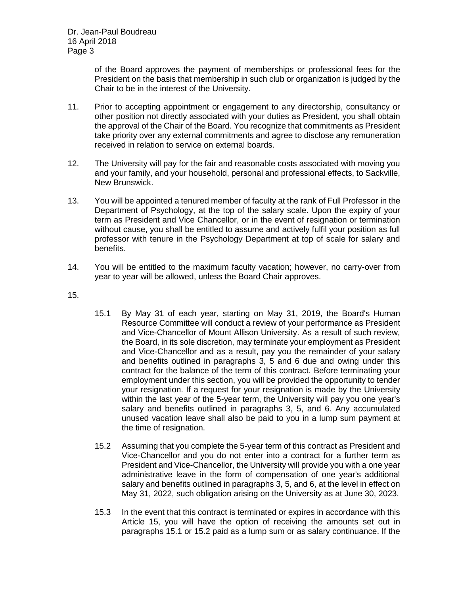of the Board approves the payment of memberships or professional fees for the President on the basis that membership in such club or organization is judged by the Chair to be in the interest of the University.

- 11. Prior to accepting appointment or engagement to any directorship, consultancy or other position not directly associated with your duties as President, you shall obtain the approval of the Chair of the Board. You recognize that commitments as President take priority over any external commitments and agree to disclose any remuneration received in relation to service on external boards.
- 12. The University will pay for the fair and reasonable costs associated with moving you and your family, and your household, personal and professional effects, to Sackville, New Brunswick.
- 13. You will be appointed a tenured member of faculty at the rank of Full Professor in the Department of Psychology, at the top of the salary scale. Upon the expiry of your term as President and Vice Chancellor, or in the event of resignation or termination without cause, you shall be entitled to assume and actively fulfil your position as full professor with tenure in the Psychology Department at top of scale for salary and benefits.
- 14. You will be entitled to the maximum faculty vacation; however, no carry-over from year to year will be allowed, unless the Board Chair approves.
- 15.
- 15.1 By May 31 of each year, starting on May 31, 2019, the Board's Human Resource Committee will conduct a review of your performance as President and Vice-Chancellor of Mount Allison University. As a result of such review, the Board, in its sole discretion, may terminate your employment as President and Vice-Chancellor and as a result, pay you the remainder of your salary and benefits outlined in paragraphs 3, 5 and 6 due and owing under this contract for the balance of the term of this contract. Before terminating your employment under this section, you will be provided the opportunity to tender your resignation. If a request for your resignation is made by the University within the last year of the 5-year term, the University will pay you one year's salary and benefits outlined in paragraphs 3, 5, and 6. Any accumulated unused vacation leave shall also be paid to you in a lump sum payment at the time of resignation.
- 15.2 Assuming that you complete the 5-year term of this contract as President and Vice-Chancellor and you do not enter into a contract for a further term as President and Vice-Chancellor, the University will provide you with a one year administrative leave in the form of compensation of one year's additional salary and benefits outlined in paragraphs 3, 5, and 6, at the level in effect on May 31, 2022, such obligation arising on the University as at June 30, 2023.
- 15.3 In the event that this contract is terminated or expires in accordance with this Article 15, you will have the option of receiving the amounts set out in paragraphs 15.1 or 15.2 paid as a lump sum or as salary continuance. If the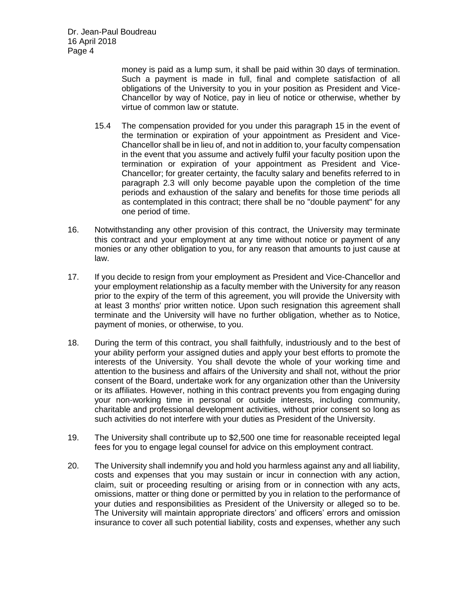money is paid as a lump sum, it shall be paid within 30 days of termination. Such a payment is made in full, final and complete satisfaction of all obligations of the University to you in your position as President and Vice-Chancellor by way of Notice, pay in lieu of notice or otherwise, whether by virtue of common law or statute.

- 15.4 The compensation provided for you under this paragraph 15 in the event of the termination or expiration of your appointment as President and Vice-Chancellor shall be in lieu of, and not in addition to, your faculty compensation in the event that you assume and actively fulfil your faculty position upon the termination or expiration of your appointment as President and Vice-Chancellor; for greater certainty, the faculty salary and benefits referred to in paragraph 2.3 will only become payable upon the completion of the time periods and exhaustion of the salary and benefits for those time periods all as contemplated in this contract; there shall be no "double payment" for any one period of time.
- 16. Notwithstanding any other provision of this contract, the University may terminate this contract and your employment at any time without notice or payment of any monies or any other obligation to you, for any reason that amounts to just cause at law.
- 17. If you decide to resign from your employment as President and Vice-Chancellor and your employment relationship as a faculty member with the University for any reason prior to the expiry of the term of this agreement, you will provide the University with at least 3 months' prior written notice. Upon such resignation this agreement shall terminate and the University will have no further obligation, whether as to Notice, payment of monies, or otherwise, to you.
- 18. During the term of this contract, you shall faithfully, industriously and to the best of your ability perform your assigned duties and apply your best efforts to promote the interests of the University. You shall devote the whole of your working time and attention to the business and affairs of the University and shall not, without the prior consent of the Board, undertake work for any organization other than the University or its affiliates. However, nothing in this contract prevents you from engaging during your non-working time in personal or outside interests, including community, charitable and professional development activities, without prior consent so long as such activities do not interfere with your duties as President of the University.
- 19. The University shall contribute up to \$2,500 one time for reasonable receipted legal fees for you to engage legal counsel for advice on this employment contract.
- 20. The University shall indemnify you and hold you harmless against any and all liability, costs and expenses that you may sustain or incur in connection with any action, claim, suit or proceeding resulting or arising from or in connection with any acts, omissions, matter or thing done or permitted by you in relation to the performance of your duties and responsibilities as President of the University or alleged so to be. The University will maintain appropriate directors' and officers' errors and omission insurance to cover all such potential liability, costs and expenses, whether any such